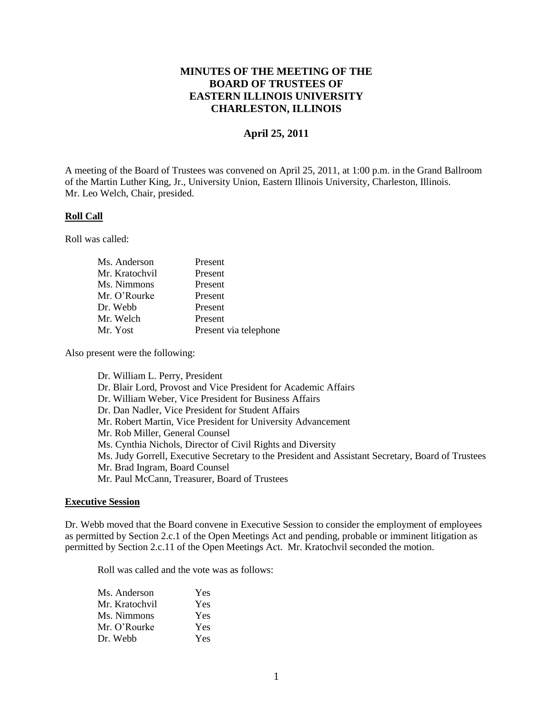# **MINUTES OF THE MEETING OF THE BOARD OF TRUSTEES OF EASTERN ILLINOIS UNIVERSITY CHARLESTON, ILLINOIS**

# **April 25, 2011**

A meeting of the Board of Trustees was convened on April 25, 2011, at 1:00 p.m. in the Grand Ballroom of the Martin Luther King, Jr., University Union, Eastern Illinois University, Charleston, Illinois. Mr. Leo Welch, Chair, presided.

#### **Roll Call**

Roll was called:

| Ms. Anderson   | Present               |
|----------------|-----------------------|
| Mr. Kratochvil | Present               |
| Ms. Nimmons    | Present               |
| Mr. O'Rourke   | Present               |
| Dr. Webb       | Present               |
| Mr. Welch      | Present               |
| Mr. Yost       | Present via telephone |
|                |                       |

Also present were the following:

Dr. William L. Perry, President Dr. Blair Lord, Provost and Vice President for Academic Affairs Dr. William Weber, Vice President for Business Affairs Dr. Dan Nadler, Vice President for Student Affairs Mr. Robert Martin, Vice President for University Advancement Mr. Rob Miller, General Counsel Ms. Cynthia Nichols, Director of Civil Rights and Diversity Ms. Judy Gorrell, Executive Secretary to the President and Assistant Secretary, Board of Trustees Mr. Brad Ingram, Board Counsel Mr. Paul McCann, Treasurer, Board of Trustees

#### **Executive Session**

Dr. Webb moved that the Board convene in Executive Session to consider the employment of employees as permitted by Section 2.c.1 of the Open Meetings Act and pending, probable or imminent litigation as permitted by Section 2.c.11 of the Open Meetings Act. Mr. Kratochvil seconded the motion.

Roll was called and the vote was as follows:

| Ms. Anderson   | Yes |
|----------------|-----|
| Mr. Kratochvil | Yes |
| Ms. Nimmons    | Yes |
| Mr. O'Rourke   | Yes |
| Dr. Webb       | Yes |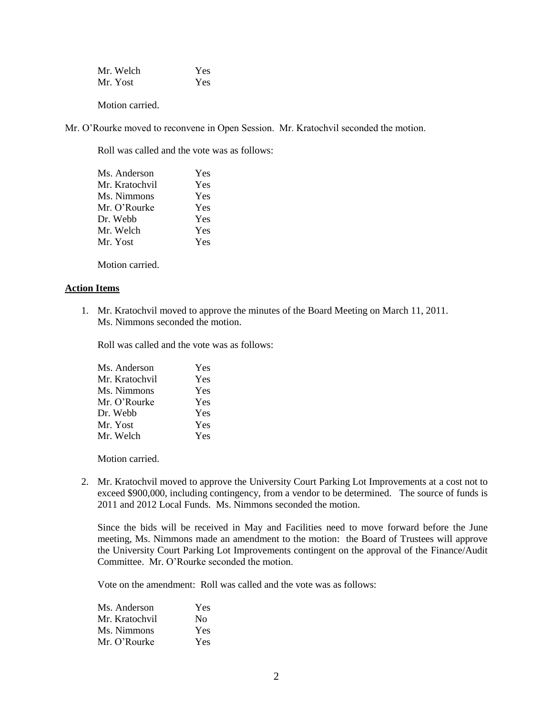| Mr. Welch | Yes |
|-----------|-----|
| Mr. Yost  | Yes |

Mr. O'Rourke moved to reconvene in Open Session. Mr. Kratochvil seconded the motion.

Roll was called and the vote was as follows:

| Ms. Anderson   | Yes |
|----------------|-----|
| Mr. Kratochvil | Yes |
| Ms. Nimmons    | Yes |
| Mr. O'Rourke   | Yes |
| Dr. Webb       | Yes |
| Mr. Welch      | Yes |
| Mr. Yost       | Yes |
|                |     |

Motion carried.

#### **Action Items**

1. Mr. Kratochvil moved to approve the minutes of the Board Meeting on March 11, 2011. Ms. Nimmons seconded the motion.

Roll was called and the vote was as follows:

| Ms. Anderson   | Yes |
|----------------|-----|
| Mr. Kratochvil | Yes |
| Ms. Nimmons    | Yes |
| Mr. O'Rourke   | Yes |
| Dr. Webb       | Yes |
| Mr. Yost       | Yes |
| Mr. Welch      | Yes |

Motion carried.

2. Mr. Kratochvil moved to approve the University Court Parking Lot Improvements at a cost not to exceed \$900,000, including contingency, from a vendor to be determined. The source of funds is 2011 and 2012 Local Funds. Ms. Nimmons seconded the motion.

Since the bids will be received in May and Facilities need to move forward before the June meeting, Ms. Nimmons made an amendment to the motion: the Board of Trustees will approve the University Court Parking Lot Improvements contingent on the approval of the Finance/Audit Committee. Mr. O'Rourke seconded the motion.

Vote on the amendment: Roll was called and the vote was as follows:

| Ms. Anderson   | Yes |
|----------------|-----|
| Mr. Kratochvil | No  |
| Ms. Nimmons    | Yes |
| Mr. O'Rourke   | Yes |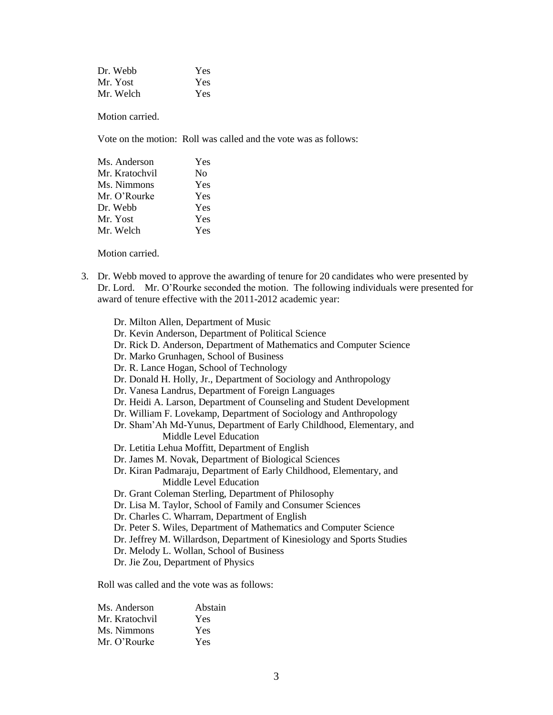| Dr. Webb  | Yes        |
|-----------|------------|
| Mr. Yost  | <b>Yes</b> |
| Mr. Welch | <b>Yes</b> |

Vote on the motion: Roll was called and the vote was as follows:

| Ms. Anderson   | Yes |
|----------------|-----|
| Mr. Kratochvil | Nο  |
| Ms. Nimmons    | Yes |
| Mr. O'Rourke   | Yes |
| Dr. Webb       | Yes |
| Mr. Yost       | Yes |
| Mr. Welch      | Yes |

Motion carried.

3. Dr. Webb moved to approve the awarding of tenure for 20 candidates who were presented by Dr. Lord. Mr. O'Rourke seconded the motion. The following individuals were presented for award of tenure effective with the 2011-2012 academic year:

| Dr. Milton Allen, Department of Music                                   |
|-------------------------------------------------------------------------|
| Dr. Kevin Anderson, Department of Political Science                     |
| Dr. Rick D. Anderson, Department of Mathematics and Computer Science    |
| Dr. Marko Grunhagen, School of Business                                 |
| Dr. R. Lance Hogan, School of Technology                                |
| Dr. Donald H. Holly, Jr., Department of Sociology and Anthropology      |
| Dr. Vanesa Landrus, Department of Foreign Languages                     |
| Dr. Heidi A. Larson, Department of Counseling and Student Development   |
| Dr. William F. Lovekamp, Department of Sociology and Anthropology       |
| Dr. Sham'Ah Md-Yunus, Department of Early Childhood, Elementary, and    |
| Middle Level Education                                                  |
| Dr. Letitia Lehua Moffitt, Department of English                        |
| Dr. James M. Novak, Department of Biological Sciences                   |
| Dr. Kiran Padmaraju, Department of Early Childhood, Elementary, and     |
| Middle Level Education                                                  |
| Dr. Grant Coleman Sterling, Department of Philosophy                    |
| Dr. Lisa M. Taylor, School of Family and Consumer Sciences              |
| Dr. Charles C. Wharram, Department of English                           |
| Dr. Peter S. Wiles, Department of Mathematics and Computer Science      |
| Dr. Jeffrey M. Willardson, Department of Kinesiology and Sports Studies |
| Dr. Melody L. Wollan, School of Business                                |
| Dr. Jie Zou, Department of Physics                                      |
|                                                                         |

Roll was called and the vote was as follows:

| Ms. Anderson   | Abstain |
|----------------|---------|
| Mr. Kratochvil | Yes     |
| Ms. Nimmons    | Yes     |
| Mr. O'Rourke   | Yes     |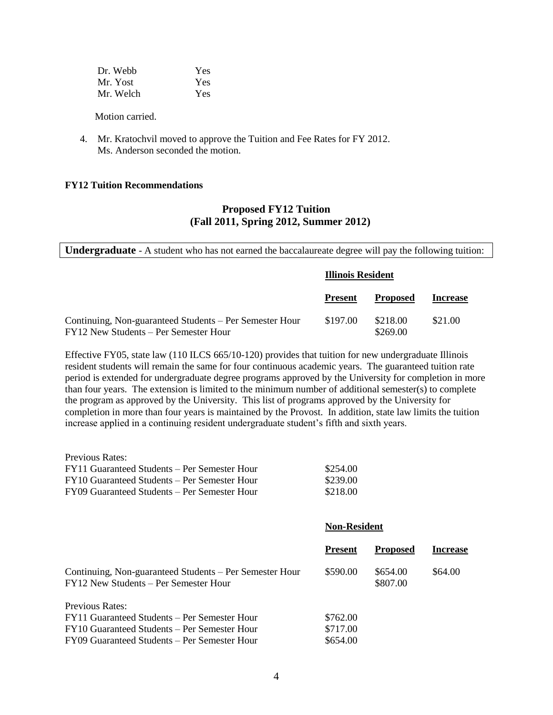| Dr. Webb  | Yes |
|-----------|-----|
| Mr. Yost  | Yes |
| Mr. Welch | Yes |

 4. Mr. Kratochvil moved to approve the Tuition and Fee Rates for FY 2012. Ms. Anderson seconded the motion.

#### **FY12 Tuition Recommendations**

# **Proposed FY12 Tuition (Fall 2011, Spring 2012, Summer 2012)**

**Undergraduate** - A student who has not earned the baccalaureate degree will pay the following tuition:

|                                                                                                  | <b>Illinois Resident</b> |                      |                 |
|--------------------------------------------------------------------------------------------------|--------------------------|----------------------|-----------------|
|                                                                                                  | <b>Present</b>           | <b>Proposed</b>      | <b>Increase</b> |
| Continuing, Non-guaranteed Students – Per Semester Hour<br>FY12 New Students – Per Semester Hour | \$197.00                 | \$218.00<br>\$269.00 | \$21.00         |

Effective FY05, state law (110 ILCS 665/10-120) provides that tuition for new undergraduate Illinois resident students will remain the same for four continuous academic years. The guaranteed tuition rate period is extended for undergraduate degree programs approved by the University for completion in more than four years. The extension is limited to the minimum number of additional semester(s) to complete the program as approved by the University. This list of programs approved by the University for completion in more than four years is maintained by the Provost. In addition, state law limits the tuition increase applied in a continuing resident undergraduate student's fifth and sixth years.

| Previous Rates:                              |          |
|----------------------------------------------|----------|
| FY11 Guaranteed Students – Per Semester Hour | \$254.00 |
| FY10 Guaranteed Students – Per Semester Hour | \$239.00 |
| FY09 Guaranteed Students – Per Semester Hour | \$218.00 |

#### **Non-Resident**

|                                                                                                  | <b>Present</b> | <b>Proposed</b>      | <b>Increase</b> |
|--------------------------------------------------------------------------------------------------|----------------|----------------------|-----------------|
| Continuing, Non-guaranteed Students – Per Semester Hour<br>FY12 New Students – Per Semester Hour | \$590.00       | \$654.00<br>\$807.00 | \$64.00         |
| Previous Rates:                                                                                  |                |                      |                 |
| FY11 Guaranteed Students – Per Semester Hour                                                     | \$762.00       |                      |                 |
| FY10 Guaranteed Students – Per Semester Hour                                                     | \$717.00       |                      |                 |
| FY09 Guaranteed Students – Per Semester Hour                                                     | \$654.00       |                      |                 |
|                                                                                                  |                |                      |                 |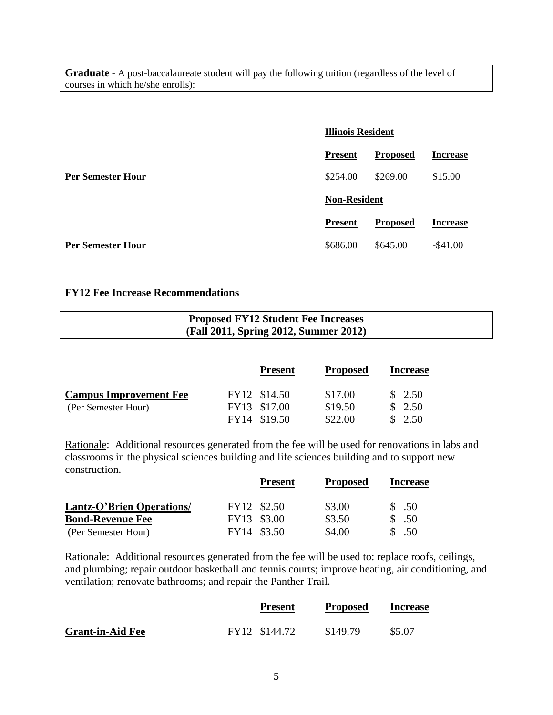**Graduate -** A post-baccalaureate student will pay the following tuition (regardless of the level of courses in which he/she enrolls):

|                          |                     | <b>Illinois Resident</b> |                 |
|--------------------------|---------------------|--------------------------|-----------------|
|                          | <b>Present</b>      | <b>Proposed</b>          | <b>Increase</b> |
| <b>Per Semester Hour</b> | \$254.00            | \$269.00                 | \$15.00         |
|                          | <b>Non-Resident</b> |                          |                 |
|                          | <b>Present</b>      | <b>Proposed</b>          | <b>Increase</b> |
| <b>Per Semester Hour</b> | \$686.00            | \$645.00                 | $-$ \$41.00     |

# **FY12 Fee Increase Recommendations**

| <b>Proposed FY12 Student Fee Increases</b> |
|--------------------------------------------|
| (Fall 2011, Spring 2012, Summer 2012)      |

|                               |              | <b>Present</b> | <b>Proposed</b> | <b>Increase</b> |
|-------------------------------|--------------|----------------|-----------------|-----------------|
| <b>Campus Improvement Fee</b> | FY12 \$14.50 |                | \$17.00         | \$2.50          |
| (Per Semester Hour)           | FY13 \$17.00 |                | \$19.50         | \$2.50          |
|                               | FY14 \$19.50 |                | \$22.00         | \$2.50          |

Rationale: Additional resources generated from the fee will be used for renovations in labs and classrooms in the physical sciences building and life sciences building and to support new construction.

|                                  | <b>Present</b> | <b>Proposed</b> | <b>Increase</b> |
|----------------------------------|----------------|-----------------|-----------------|
| <b>Lantz-O'Brien Operations/</b> | FY12 \$2.50    | \$3.00          | \$.50           |
| <b>Bond-Revenue Fee</b>          | FY13 \$3.00    | \$3.50          | .50             |
| (Per Semester Hour)              | FY14 \$3.50    | \$4.00          | .50             |

Rationale: Additional resources generated from the fee will be used to: replace roofs, ceilings, and plumbing; repair outdoor basketball and tennis courts; improve heating, air conditioning, and ventilation; renovate bathrooms; and repair the Panther Trail.

|                         | <b>Present</b> | <b>Proposed</b> | <b>Increase</b> |
|-------------------------|----------------|-----------------|-----------------|
| <b>Grant-in-Aid Fee</b> | FY12 \$144.72  | \$149.79        | \$5.07          |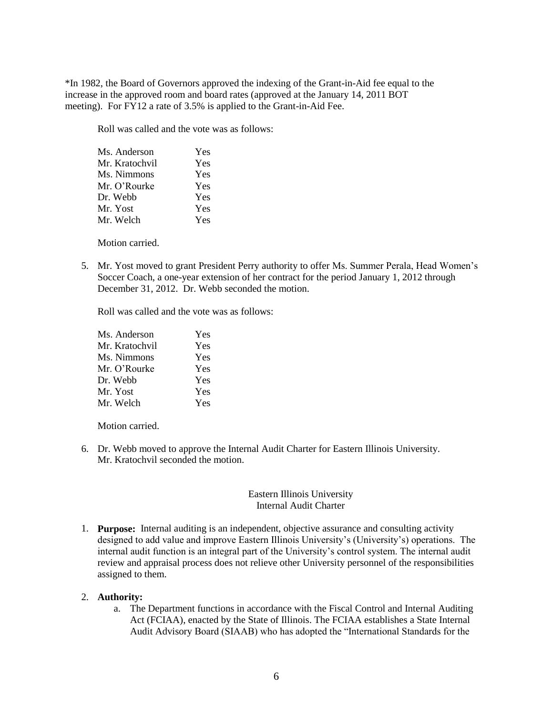\*In 1982, the Board of Governors approved the indexing of the Grant-in-Aid fee equal to the increase in the approved room and board rates (approved at the January 14, 2011 BOT meeting). For FY12 a rate of 3.5% is applied to the Grant-in-Aid Fee.

Roll was called and the vote was as follows:

| Ms. Anderson   | Yes |
|----------------|-----|
| Mr. Kratochvil | Yes |
| Ms. Nimmons    | Yes |
| Mr. O'Rourke   | Yes |
| Dr. Webb       | Yes |
| Mr. Yost       | Yes |
| Mr. Welch      | Yes |

Motion carried.

5. Mr. Yost moved to grant President Perry authority to offer Ms. Summer Perala, Head Women's Soccer Coach, a one-year extension of her contract for the period January 1, 2012 through December 31, 2012. Dr. Webb seconded the motion.

Roll was called and the vote was as follows:

| Ms. Anderson   | Yes |
|----------------|-----|
| Mr. Kratochvil | Yes |
| Ms. Nimmons    | Yes |
| Mr. O'Rourke   | Yes |
| Dr. Webb       | Yes |
| Mr. Yost       | Yes |
| Mr. Welch      | Yes |

Motion carried.

6. Dr. Webb moved to approve the Internal Audit Charter for Eastern Illinois University. Mr. Kratochvil seconded the motion

### Eastern Illinois University Internal Audit Charter

1. **Purpose:** Internal auditing is an independent, objective assurance and consulting activity designed to add value and improve Eastern Illinois University's (University's) operations. The internal audit function is an integral part of the University's control system. The internal audit review and appraisal process does not relieve other University personnel of the responsibilities assigned to them.

### 2. **Authority:**

a. The Department functions in accordance with the Fiscal Control and Internal Auditing Act (FCIAA), enacted by the State of Illinois. The FCIAA establishes a State Internal Audit Advisory Board (SIAAB) who has adopted the "International Standards for the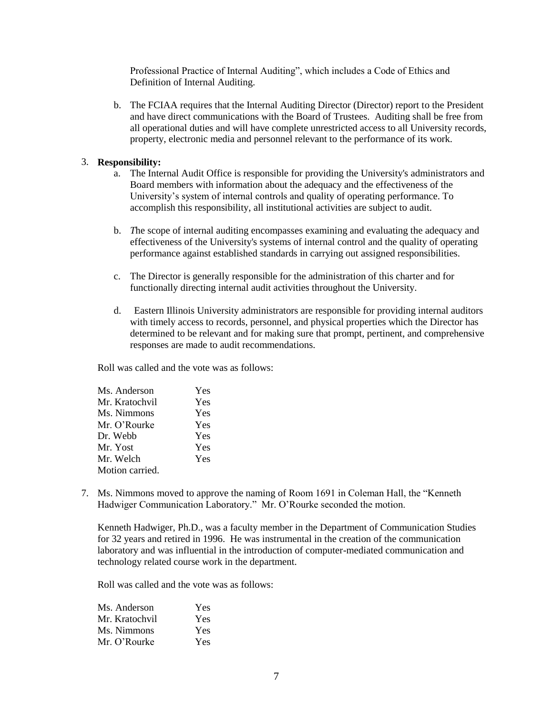Professional Practice of Internal Auditing", which includes a Code of Ethics and Definition of Internal Auditing.

b. The FCIAA requires that the Internal Auditing Director (Director) report to the President and have direct communications with the Board of Trustees. Auditing shall be free from all operational duties and will have complete unrestricted access to all University records, property, electronic media and personnel relevant to the performance of its work.

### 3. **Responsibility:**

- a. The Internal Audit Office is responsible for providing the University's administrators and Board members with information about the adequacy and the effectiveness of the University's system of internal controls and quality of operating performance. To accomplish this responsibility, all institutional activities are subject to audit.
- b. *T*he scope of internal auditing encompasses examining and evaluating the adequacy and effectiveness of the University's systems of internal control and the quality of operating performance against established standards in carrying out assigned responsibilities.
- c. The Director is generally responsible for the administration of this charter and for functionally directing internal audit activities throughout the University.
- d. Eastern Illinois University administrators are responsible for providing internal auditors with timely access to records, personnel, and physical properties which the Director has determined to be relevant and for making sure that prompt, pertinent, and comprehensive responses are made to audit recommendations.

Roll was called and the vote was as follows:

| Ms. Anderson    | Yes |
|-----------------|-----|
| Mr. Kratochvil  | Yes |
| Ms. Nimmons     | Yes |
| Mr. O'Rourke    | Yes |
| Dr. Webb        | Yes |
| Mr. Yost        | Yes |
| Mr. Welch       | Yes |
| Motion carried. |     |
|                 |     |

7. Ms. Nimmons moved to approve the naming of Room 1691 in Coleman Hall, the "Kenneth Hadwiger Communication Laboratory." Mr. O'Rourke seconded the motion.

Kenneth Hadwiger, Ph.D., was a faculty member in the Department of Communication Studies for 32 years and retired in 1996. He was instrumental in the creation of the communication laboratory and was influential in the introduction of computer-mediated communication and technology related course work in the department.

Roll was called and the vote was as follows:

| Ms. Anderson   | Yes |
|----------------|-----|
| Mr. Kratochvil | Yes |
| Ms. Nimmons    | Yes |
| Mr. O'Rourke   | Yes |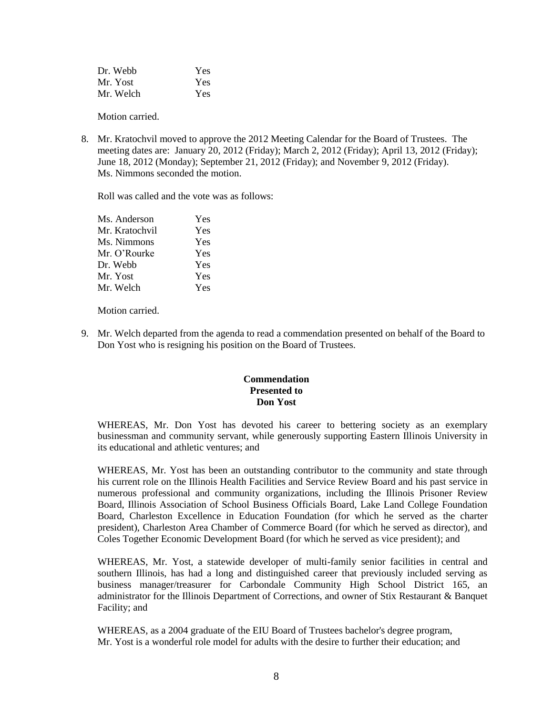| Dr. Webb  | Yes |
|-----------|-----|
| Mr. Yost  | Yes |
| Mr. Welch | Yes |

8. Mr. Kratochvil moved to approve the 2012 Meeting Calendar for the Board of Trustees. The meeting dates are: January 20, 2012 (Friday); March 2, 2012 (Friday); April 13, 2012 (Friday); June 18, 2012 (Monday); September 21, 2012 (Friday); and November 9, 2012 (Friday). Ms. Nimmons seconded the motion.

Roll was called and the vote was as follows:

| Ms. Anderson   | Yes |
|----------------|-----|
| Mr. Kratochvil | Yes |
| Ms. Nimmons    | Yes |
| Mr. O'Rourke   | Yes |
| Dr. Webb       | Yes |
| Mr. Yost       | Yes |
| Mr. Welch      | Yes |

Motion carried.

9. Mr. Welch departed from the agenda to read a commendation presented on behalf of the Board to Don Yost who is resigning his position on the Board of Trustees.

### **Commendation Presented to Don Yost**

WHEREAS, Mr. Don Yost has devoted his career to bettering society as an exemplary businessman and community servant, while generously supporting Eastern Illinois University in its educational and athletic ventures; and

WHEREAS, Mr. Yost has been an outstanding contributor to the community and state through his current role on the Illinois Health Facilities and Service Review Board and his past service in numerous professional and community organizations, including the Illinois Prisoner Review Board, Illinois Association of School Business Officials Board, Lake Land College Foundation Board, Charleston Excellence in Education Foundation (for which he served as the charter president), Charleston Area Chamber of Commerce Board (for which he served as director), and Coles Together Economic Development Board (for which he served as vice president); and

WHEREAS, Mr. Yost, a statewide developer of multi-family senior facilities in central and southern Illinois, has had a long and distinguished career that previously included serving as business manager/treasurer for Carbondale Community High School District 165, an administrator for the Illinois Department of Corrections, and owner of Stix Restaurant & Banquet Facility; and

WHEREAS, as a 2004 graduate of the EIU Board of Trustees bachelor's degree program, Mr. Yost is a wonderful role model for adults with the desire to further their education; and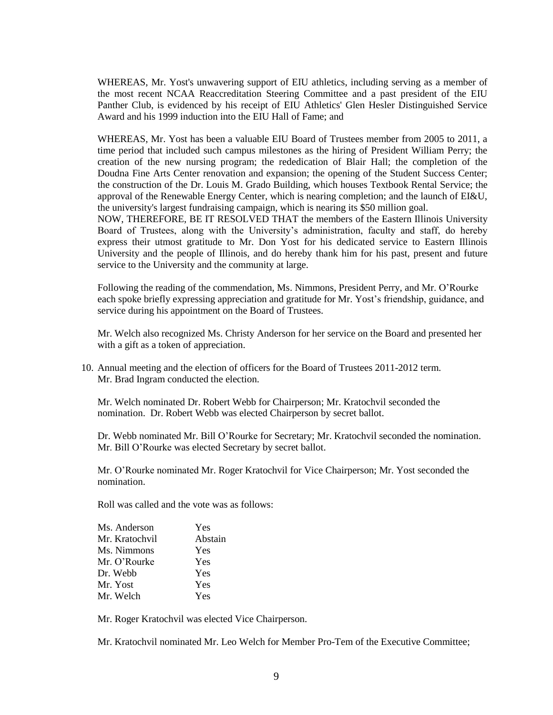WHEREAS, Mr. Yost's unwavering support of EIU athletics, including serving as a member of the most recent NCAA Reaccreditation Steering Committee and a past president of the EIU Panther Club, is evidenced by his receipt of EIU Athletics' Glen Hesler Distinguished Service Award and his 1999 induction into the EIU Hall of Fame; and

WHEREAS, Mr. Yost has been a valuable EIU Board of Trustees member from 2005 to 2011, a time period that included such campus milestones as the hiring of President William Perry; the creation of the new nursing program; the rededication of Blair Hall; the completion of the Doudna Fine Arts Center renovation and expansion; the opening of the Student Success Center; the construction of the Dr. Louis M. Grado Building, which houses Textbook Rental Service; the approval of the Renewable Energy Center, which is nearing completion; and the launch of EI&U, the university's largest fundraising campaign, which is nearing its \$50 million goal.

NOW, THEREFORE, BE IT RESOLVED THAT the members of the Eastern Illinois University Board of Trustees, along with the University's administration, faculty and staff, do hereby express their utmost gratitude to Mr. Don Yost for his dedicated service to Eastern Illinois University and the people of Illinois, and do hereby thank him for his past, present and future service to the University and the community at large.

Following the reading of the commendation, Ms. Nimmons, President Perry, and Mr. O'Rourke each spoke briefly expressing appreciation and gratitude for Mr. Yost's friendship, guidance, and service during his appointment on the Board of Trustees.

Mr. Welch also recognized Ms. Christy Anderson for her service on the Board and presented her with a gift as a token of appreciation.

10. Annual meeting and the election of officers for the Board of Trustees 2011-2012 term. Mr. Brad Ingram conducted the election.

Mr. Welch nominated Dr. Robert Webb for Chairperson; Mr. Kratochvil seconded the nomination. Dr. Robert Webb was elected Chairperson by secret ballot.

Dr. Webb nominated Mr. Bill O'Rourke for Secretary; Mr. Kratochvil seconded the nomination. Mr. Bill O'Rourke was elected Secretary by secret ballot.

Mr. O'Rourke nominated Mr. Roger Kratochvil for Vice Chairperson; Mr. Yost seconded the nomination.

Roll was called and the vote was as follows:

| Ms. Anderson   | Yes     |
|----------------|---------|
| Mr. Kratochvil | Abstain |
| Ms. Nimmons    | Yes     |
| Mr. O'Rourke   | Yes     |
| Dr. Webb       | Yes     |
| Mr. Yost       | Yes     |
| Mr. Welch      | Yes     |

Mr. Roger Kratochvil was elected Vice Chairperson.

Mr. Kratochvil nominated Mr. Leo Welch for Member Pro-Tem of the Executive Committee;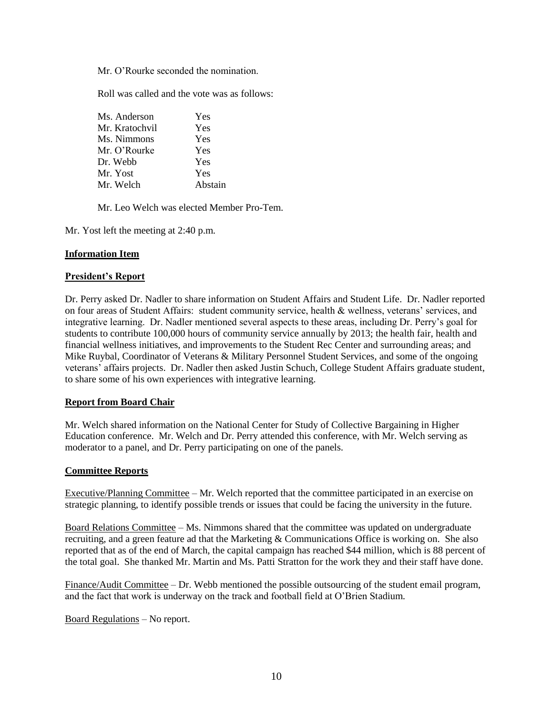Mr. O'Rourke seconded the nomination.

Roll was called and the vote was as follows:

| Ms. Anderson   | Yes     |
|----------------|---------|
| Mr. Kratochvil | Yes     |
| Ms. Nimmons    | Yes     |
| Mr. O'Rourke   | Yes     |
| Dr. Webb       | Yes     |
| Mr. Yost       | Yes     |
| Mr. Welch      | Abstain |
|                |         |

Mr. Leo Welch was elected Member Pro-Tem.

Mr. Yost left the meeting at 2:40 p.m.

### **Information Item**

#### **President's Report**

Dr. Perry asked Dr. Nadler to share information on Student Affairs and Student Life. Dr. Nadler reported on four areas of Student Affairs: student community service, health & wellness, veterans' services, and integrative learning. Dr. Nadler mentioned several aspects to these areas, including Dr. Perry's goal for students to contribute 100,000 hours of community service annually by 2013; the health fair, health and financial wellness initiatives, and improvements to the Student Rec Center and surrounding areas; and Mike Ruybal, Coordinator of Veterans & Military Personnel Student Services, and some of the ongoing veterans' affairs projects. Dr. Nadler then asked Justin Schuch, College Student Affairs graduate student, to share some of his own experiences with integrative learning.

### **Report from Board Chair**

Mr. Welch shared information on the National Center for Study of Collective Bargaining in Higher Education conference. Mr. Welch and Dr. Perry attended this conference, with Mr. Welch serving as moderator to a panel, and Dr. Perry participating on one of the panels.

#### **Committee Reports**

Executive/Planning Committee – Mr. Welch reported that the committee participated in an exercise on strategic planning, to identify possible trends or issues that could be facing the university in the future.

Board Relations Committee – Ms. Nimmons shared that the committee was updated on undergraduate recruiting, and a green feature ad that the Marketing & Communications Office is working on. She also reported that as of the end of March, the capital campaign has reached \$44 million, which is 88 percent of the total goal. She thanked Mr. Martin and Ms. Patti Stratton for the work they and their staff have done.

Finance/Audit Committee – Dr. Webb mentioned the possible outsourcing of the student email program, and the fact that work is underway on the track and football field at O'Brien Stadium.

Board Regulations – No report.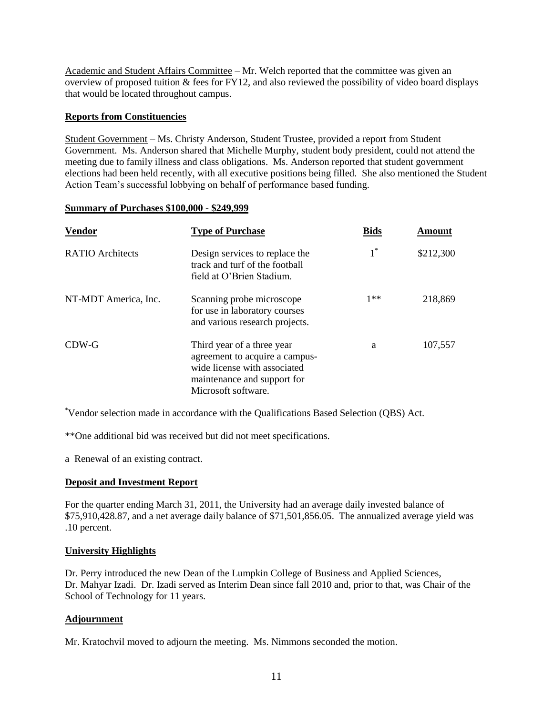Academic and Student Affairs Committee – Mr. Welch reported that the committee was given an overview of proposed tuition & fees for FY12, and also reviewed the possibility of video board displays that would be located throughout campus.

## **Reports from Constituencies**

Student Government – Ms. Christy Anderson, Student Trustee, provided a report from Student Government. Ms. Anderson shared that Michelle Murphy, student body president, could not attend the meeting due to family illness and class obligations. Ms. Anderson reported that student government elections had been held recently, with all executive positions being filled. She also mentioned the Student Action Team's successful lobbying on behalf of performance based funding.

### **Summary of Purchases \$100,000 - \$249,999**

| <b>Vendor</b>           | <b>Type of Purchase</b>                                                                                                                            | <b>Bids</b> | Amount    |
|-------------------------|----------------------------------------------------------------------------------------------------------------------------------------------------|-------------|-----------|
| <b>RATIO</b> Architects | Design services to replace the<br>track and turf of the football<br>field at O'Brien Stadium.                                                      |             | \$212,300 |
| NT-MDT America, Inc.    | Scanning probe microscope<br>for use in laboratory courses<br>and various research projects.                                                       | $1**$       | 218,869   |
| CDW-G                   | Third year of a three year<br>agreement to acquire a campus-<br>wide license with associated<br>maintenance and support for<br>Microsoft software. | a           | 107,557   |

\*Vendor selection made in accordance with the Qualifications Based Selection (QBS) Act.

\*\*One additional bid was received but did not meet specifications.

a Renewal of an existing contract.

### **Deposit and Investment Report**

For the quarter ending March 31, 2011, the University had an average daily invested balance of \$75,910,428.87, and a net average daily balance of \$71,501,856.05. The annualized average yield was .10 percent.

### **University Highlights**

Dr. Perry introduced the new Dean of the Lumpkin College of Business and Applied Sciences, Dr. Mahyar Izadi. Dr. Izadi served as Interim Dean since fall 2010 and, prior to that, was Chair of the School of Technology for 11 years.

### **Adjournment**

Mr. Kratochvil moved to adjourn the meeting. Ms. Nimmons seconded the motion.